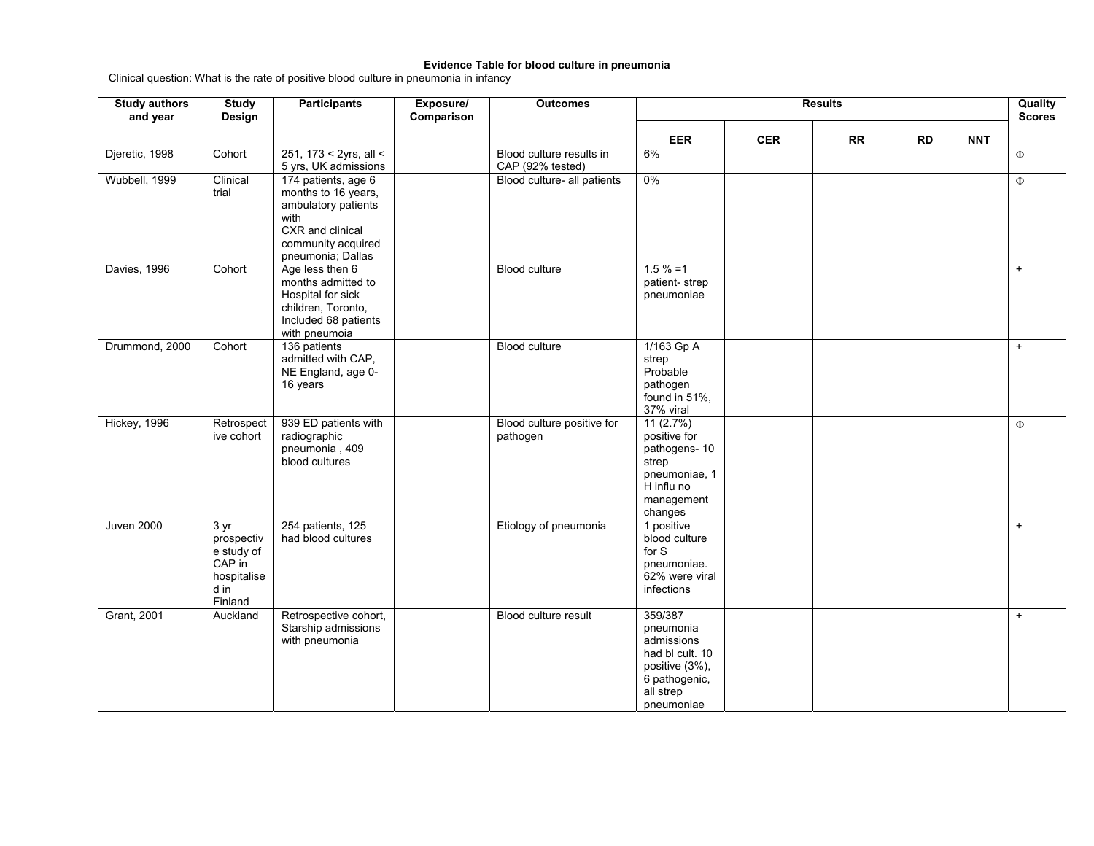## **Evidence Table for blood culture in pneumonia**

Clinical question: What is the rate of positive blood culture in pneumonia in infancy

| <b>Study authors</b><br>and year | <b>Study</b><br>Design                                                                 | <b>Participants</b>                                                                                                                      | Exposure/<br>Comparison | <b>Outcomes</b>                              | <b>Results</b>                                                                                                      |            |           |           |            |        |
|----------------------------------|----------------------------------------------------------------------------------------|------------------------------------------------------------------------------------------------------------------------------------------|-------------------------|----------------------------------------------|---------------------------------------------------------------------------------------------------------------------|------------|-----------|-----------|------------|--------|
|                                  |                                                                                        |                                                                                                                                          |                         |                                              | <b>EER</b>                                                                                                          | <b>CER</b> | <b>RR</b> | <b>RD</b> | <b>NNT</b> |        |
| Djeretic, 1998                   | Cohort                                                                                 | 251, 173 < 2yrs, all <<br>5 yrs, UK admissions                                                                                           |                         | Blood culture results in<br>CAP (92% tested) | 6%                                                                                                                  |            |           |           |            | $\Phi$ |
| Wubbell, 1999                    | Clinical<br>trial                                                                      | 174 patients, age 6<br>months to 16 years,<br>ambulatory patients<br>with<br>CXR and clinical<br>community acquired<br>pneumonia; Dallas |                         | Blood culture- all patients                  | $0\%$                                                                                                               |            |           |           |            | $\Phi$ |
| Davies, 1996                     | Cohort                                                                                 | Age less then 6<br>months admitted to<br>Hospital for sick<br>children, Toronto,<br>Included 68 patients<br>with pneumoia                |                         | Blood culture                                | $1.5 \% = 1$<br>patient-strep<br>pneumoniae                                                                         |            |           |           |            | $+$    |
| Drummond, 2000                   | Cohort                                                                                 | 136 patients<br>admitted with CAP,<br>NE England, age 0-<br>16 years                                                                     |                         | <b>Blood culture</b>                         | 1/163 Gp A<br>strep<br>Probable<br>pathogen<br>found in 51%,<br>37% viral                                           |            |           |           |            | $+$    |
| Hickey, 1996                     | Retrospect<br>ive cohort                                                               | 939 ED patients with<br>radiographic<br>pneumonia, 409<br>blood cultures                                                                 |                         | Blood culture positive for<br>pathogen       | 11(2.7%)<br>positive for<br>pathogens-10<br>strep<br>pneumoniae, 1<br>H influ no<br>management<br>changes           |            |           |           |            | Ф      |
| <b>Juven 2000</b>                | $3 \text{ yr}$<br>prospectiv<br>e study of<br>CAP in<br>hospitalise<br>d in<br>Finland | 254 patients, 125<br>had blood cultures                                                                                                  |                         | Etiology of pneumonia                        | 1 positive<br>blood culture<br>for S<br>pneumoniae.<br>62% were viral<br>infections                                 |            |           |           |            | $+$    |
| Grant, 2001                      | Auckland                                                                               | Retrospective cohort,<br>Starship admissions<br>with pneumonia                                                                           |                         | Blood culture result                         | 359/387<br>pneumonia<br>admissions<br>had bl cult. 10<br>positive (3%),<br>6 pathogenic,<br>all strep<br>pneumoniae |            |           |           |            | $+$    |